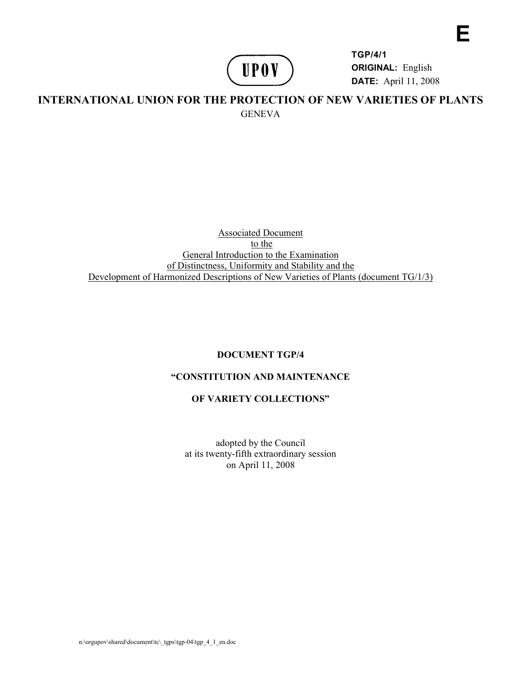# **UPOV**

**TGP/4/1 ORIGINAL:** English **DATE:** April 11, 2008 **E** 

# **INTERNATIONAL UNION FOR THE PROTECTION OF NEW VARIETIES OF PLANTS GENEVA**

Associated Document to the General Introduction to the Examination of Distinctness, Uniformity and Stability and the Development of Harmonized Descriptions of New Varieties of Plants (document TG/1/3)

# **DOCUMENT TGP/4**

# **"CONSTITUTION AND MAINTENANCE**

# **OF VARIETY COLLECTIONS"**

adopted by the Council at its twenty-fifth extraordinary session on April 11, 2008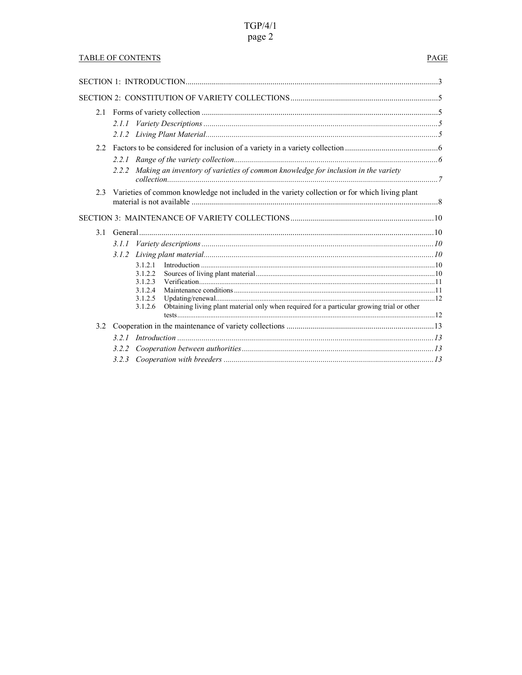# $TGP/4/1$ page 2

# **TABLE OF CONTENTS**

# PAGE

|     | 2.1.1                                                                                                 |  |
|-----|-------------------------------------------------------------------------------------------------------|--|
|     |                                                                                                       |  |
| 2.2 |                                                                                                       |  |
|     |                                                                                                       |  |
|     | 2.2.2 Making an inventory of varieties of common knowledge for inclusion in the variety               |  |
|     | 2.3 Varieties of common knowledge not included in the variety collection or for which living plant    |  |
|     |                                                                                                       |  |
|     |                                                                                                       |  |
|     | 3.1.1                                                                                                 |  |
|     | 3.1.2                                                                                                 |  |
|     | 3 1 2 1                                                                                               |  |
|     | 3.1.2.2<br>3.1.2.3                                                                                    |  |
|     | 3.1.2.4                                                                                               |  |
|     | 3.1.2.5                                                                                               |  |
|     | Obtaining living plant material only when required for a particular growing trial or other<br>3.1.2.6 |  |
|     |                                                                                                       |  |
| 3.2 |                                                                                                       |  |
|     |                                                                                                       |  |
|     |                                                                                                       |  |
|     |                                                                                                       |  |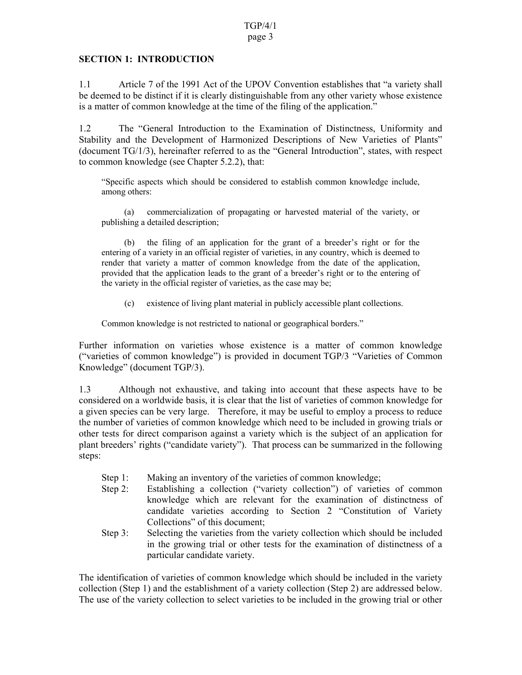#### page 3

# **SECTION 1: INTRODUCTION**

1.1 Article 7 of the 1991 Act of the UPOV Convention establishes that "a variety shall be deemed to be distinct if it is clearly distinguishable from any other variety whose existence is a matter of common knowledge at the time of the filing of the application."

1.2 The "General Introduction to the Examination of Distinctness, Uniformity and Stability and the Development of Harmonized Descriptions of New Varieties of Plants" (document TG/1/3), hereinafter referred to as the "General Introduction", states, with respect to common knowledge (see Chapter 5.2.2), that:

"Specific aspects which should be considered to establish common knowledge include, among others:

 (a) commercialization of propagating or harvested material of the variety, or publishing a detailed description;

 (b) the filing of an application for the grant of a breeder's right or for the entering of a variety in an official register of varieties, in any country, which is deemed to render that variety a matter of common knowledge from the date of the application, provided that the application leads to the grant of a breeder's right or to the entering of the variety in the official register of varieties, as the case may be;

(c) existence of living plant material in publicly accessible plant collections.

Common knowledge is not restricted to national or geographical borders."

Further information on varieties whose existence is a matter of common knowledge ("varieties of common knowledge") is provided in document TGP/3 "Varieties of Common Knowledge" (document TGP/3).

1.3 Although not exhaustive, and taking into account that these aspects have to be considered on a worldwide basis, it is clear that the list of varieties of common knowledge for a given species can be very large. Therefore, it may be useful to employ a process to reduce the number of varieties of common knowledge which need to be included in growing trials or other tests for direct comparison against a variety which is the subject of an application for plant breeders' rights ("candidate variety"). That process can be summarized in the following steps:

- Step 1: Making an inventory of the varieties of common knowledge;
- Step 2: Establishing a collection ("variety collection") of varieties of common knowledge which are relevant for the examination of distinctness of candidate varieties according to Section 2 "Constitution of Variety Collections" of this document;
- Step 3: Selecting the varieties from the variety collection which should be included in the growing trial or other tests for the examination of distinctness of a particular candidate variety.

The identification of varieties of common knowledge which should be included in the variety collection (Step 1) and the establishment of a variety collection (Step 2) are addressed below. The use of the variety collection to select varieties to be included in the growing trial or other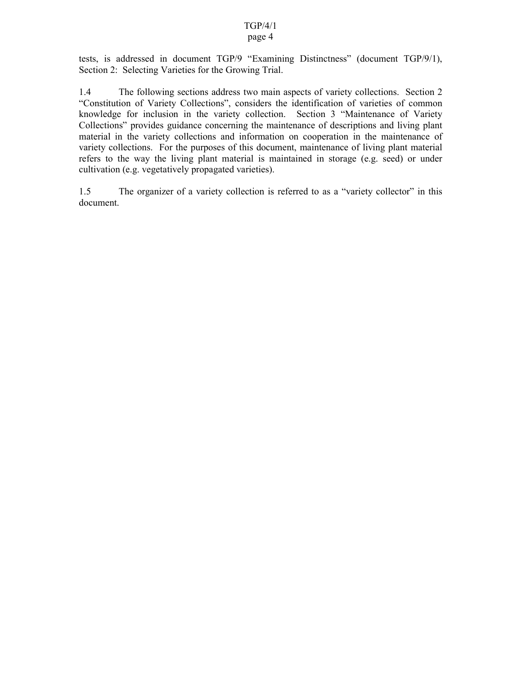## page 4

tests, is addressed in document TGP/9 "Examining Distinctness" (document TGP/9/1), Section 2: Selecting Varieties for the Growing Trial.

1.4 The following sections address two main aspects of variety collections. Section 2 "Constitution of Variety Collections", considers the identification of varieties of common knowledge for inclusion in the variety collection. Section 3 "Maintenance of Variety Collections" provides guidance concerning the maintenance of descriptions and living plant material in the variety collections and information on cooperation in the maintenance of variety collections. For the purposes of this document, maintenance of living plant material refers to the way the living plant material is maintained in storage (e.g. seed) or under cultivation (e.g. vegetatively propagated varieties).

1.5 The organizer of a variety collection is referred to as a "variety collector" in this document.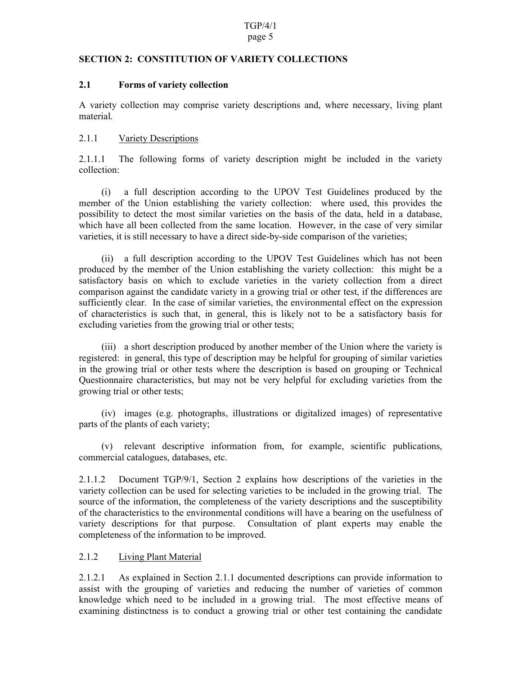#### page 5

## **SECTION 2: CONSTITUTION OF VARIETY COLLECTIONS**

## **2.1 Forms of variety collection**

A variety collection may comprise variety descriptions and, where necessary, living plant material.

## 2.1.1 Variety Descriptions

2.1.1.1 The following forms of variety description might be included in the variety collection:

 (i) a full description according to the UPOV Test Guidelines produced by the member of the Union establishing the variety collection: where used, this provides the possibility to detect the most similar varieties on the basis of the data, held in a database, which have all been collected from the same location. However, in the case of very similar varieties, it is still necessary to have a direct side-by-side comparison of the varieties;

 (ii) a full description according to the UPOV Test Guidelines which has not been produced by the member of the Union establishing the variety collection: this might be a satisfactory basis on which to exclude varieties in the variety collection from a direct comparison against the candidate variety in a growing trial or other test, if the differences are sufficiently clear. In the case of similar varieties, the environmental effect on the expression of characteristics is such that, in general, this is likely not to be a satisfactory basis for excluding varieties from the growing trial or other tests;

 (iii) a short description produced by another member of the Union where the variety is registered: in general, this type of description may be helpful for grouping of similar varieties in the growing trial or other tests where the description is based on grouping or Technical Questionnaire characteristics, but may not be very helpful for excluding varieties from the growing trial or other tests;

 (iv) images (e.g. photographs, illustrations or digitalized images) of representative parts of the plants of each variety;

 (v) relevant descriptive information from, for example, scientific publications, commercial catalogues, databases, etc.

2.1.1.2 Document TGP/9/1, Section 2 explains how descriptions of the varieties in the variety collection can be used for selecting varieties to be included in the growing trial. The source of the information, the completeness of the variety descriptions and the susceptibility of the characteristics to the environmental conditions will have a bearing on the usefulness of variety descriptions for that purpose. Consultation of plant experts may enable the completeness of the information to be improved.

# 2.1.2 Living Plant Material

2.1.2.1 As explained in Section 2.1.1 documented descriptions can provide information to assist with the grouping of varieties and reducing the number of varieties of common knowledge which need to be included in a growing trial. The most effective means of examining distinctness is to conduct a growing trial or other test containing the candidate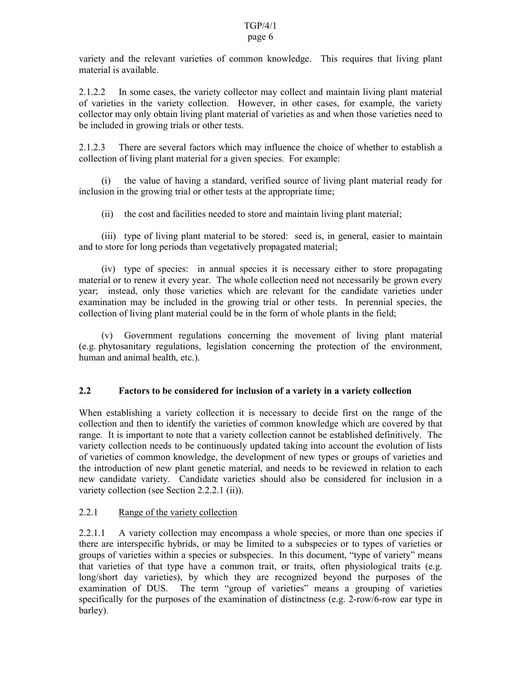# page 6

variety and the relevant varieties of common knowledge. This requires that living plant material is available.

2.1.2.2 In some cases, the variety collector may collect and maintain living plant material of varieties in the variety collection. However, in other cases, for example, the variety collector may only obtain living plant material of varieties as and when those varieties need to be included in growing trials or other tests.

2.1.2.3 There are several factors which may influence the choice of whether to establish a collection of living plant material for a given species. For example:

 (i) the value of having a standard, verified source of living plant material ready for inclusion in the growing trial or other tests at the appropriate time;

(ii) the cost and facilities needed to store and maintain living plant material;

 (iii) type of living plant material to be stored: seed is, in general, easier to maintain and to store for long periods than vegetatively propagated material;

 (iv) type of species: in annual species it is necessary either to store propagating material or to renew it every year. The whole collection need not necessarily be grown every year; instead, only those varieties which are relevant for the candidate varieties under examination may be included in the growing trial or other tests. In perennial species, the collection of living plant material could be in the form of whole plants in the field;

 (v) Government regulations concerning the movement of living plant material (e.g. phytosanitary regulations, legislation concerning the protection of the environment, human and animal health, etc.).

# **2.2 Factors to be considered for inclusion of a variety in a variety collection**

When establishing a variety collection it is necessary to decide first on the range of the collection and then to identify the varieties of common knowledge which are covered by that range. It is important to note that a variety collection cannot be established definitively. The variety collection needs to be continuously updated taking into account the evolution of lists of varieties of common knowledge, the development of new types or groups of varieties and the introduction of new plant genetic material, and needs to be reviewed in relation to each new candidate variety. Candidate varieties should also be considered for inclusion in a variety collection (see Section 2.2.2.1 (ii)).

# 2.2.1 Range of the variety collection

2.2.1.1 A variety collection may encompass a whole species, or more than one species if there are interspecific hybrids, or may be limited to a subspecies or to types of varieties or groups of varieties within a species or subspecies. In this document, "type of variety" means that varieties of that type have a common trait, or traits, often physiological traits (e.g. long/short day varieties), by which they are recognized beyond the purposes of the examination of DUS. The term "group of varieties" means a grouping of varieties specifically for the purposes of the examination of distinctness (e.g. 2-row/6-row ear type in barley).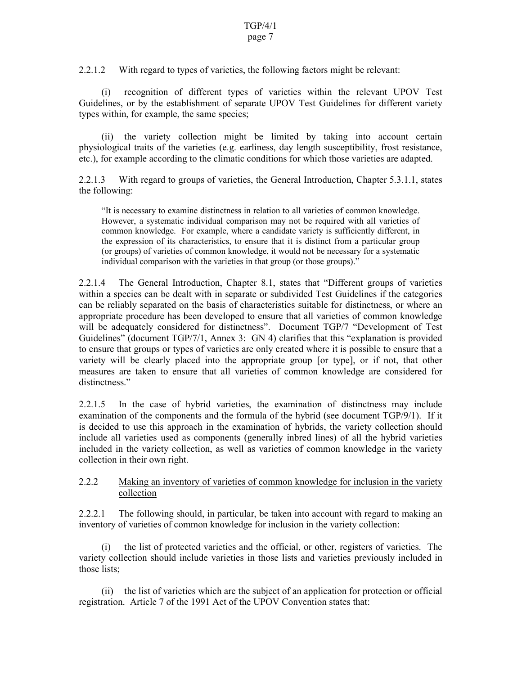#### page 7

2.2.1.2 With regard to types of varieties, the following factors might be relevant:

 (i) recognition of different types of varieties within the relevant UPOV Test Guidelines, or by the establishment of separate UPOV Test Guidelines for different variety types within, for example, the same species;

 (ii) the variety collection might be limited by taking into account certain physiological traits of the varieties (e.g. earliness, day length susceptibility, frost resistance, etc.), for example according to the climatic conditions for which those varieties are adapted.

2.2.1.3 With regard to groups of varieties, the General Introduction, Chapter 5.3.1.1, states the following:

"It is necessary to examine distinctness in relation to all varieties of common knowledge. However, a systematic individual comparison may not be required with all varieties of common knowledge. For example, where a candidate variety is sufficiently different, in the expression of its characteristics, to ensure that it is distinct from a particular group (or groups) of varieties of common knowledge, it would not be necessary for a systematic individual comparison with the varieties in that group (or those groups)."

2.2.1.4 The General Introduction, Chapter 8.1, states that "Different groups of varieties within a species can be dealt with in separate or subdivided Test Guidelines if the categories can be reliably separated on the basis of characteristics suitable for distinctness, or where an appropriate procedure has been developed to ensure that all varieties of common knowledge will be adequately considered for distinctness". Document TGP/7 "Development of Test Guidelines" (document TGP/7/1, Annex 3: GN 4) clarifies that this "explanation is provided to ensure that groups or types of varieties are only created where it is possible to ensure that a variety will be clearly placed into the appropriate group [or type], or if not, that other measures are taken to ensure that all varieties of common knowledge are considered for distinctness."

2.2.1.5 In the case of hybrid varieties, the examination of distinctness may include examination of the components and the formula of the hybrid (see document TGP/9/1). If it is decided to use this approach in the examination of hybrids, the variety collection should include all varieties used as components (generally inbred lines) of all the hybrid varieties included in the variety collection, as well as varieties of common knowledge in the variety collection in their own right.

#### 2.2.2 Making an inventory of varieties of common knowledge for inclusion in the variety collection

2.2.2.1 The following should, in particular, be taken into account with regard to making an inventory of varieties of common knowledge for inclusion in the variety collection:

 (i) the list of protected varieties and the official, or other, registers of varieties. The variety collection should include varieties in those lists and varieties previously included in those lists;

 (ii) the list of varieties which are the subject of an application for protection or official registration. Article 7 of the 1991 Act of the UPOV Convention states that: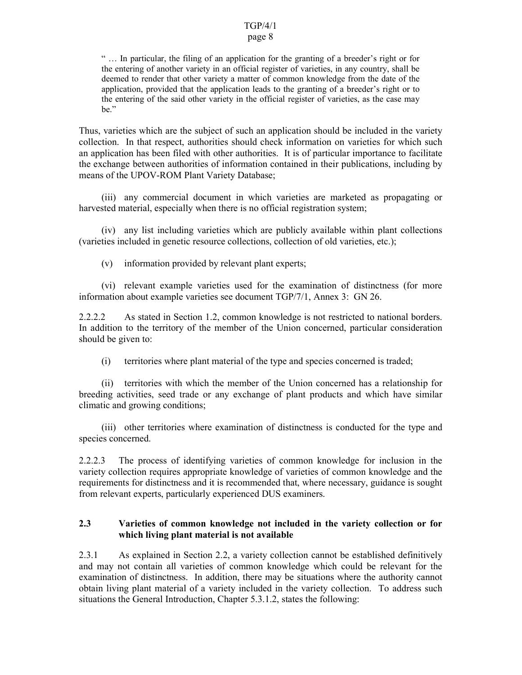## page 8

" … In particular, the filing of an application for the granting of a breeder's right or for the entering of another variety in an official register of varieties, in any country, shall be deemed to render that other variety a matter of common knowledge from the date of the application, provided that the application leads to the granting of a breeder's right or to the entering of the said other variety in the official register of varieties, as the case may be."

Thus, varieties which are the subject of such an application should be included in the variety collection. In that respect, authorities should check information on varieties for which such an application has been filed with other authorities. It is of particular importance to facilitate the exchange between authorities of information contained in their publications, including by means of the UPOV-ROM Plant Variety Database;

 (iii) any commercial document in which varieties are marketed as propagating or harvested material, especially when there is no official registration system;

 (iv) any list including varieties which are publicly available within plant collections (varieties included in genetic resource collections, collection of old varieties, etc.);

(v) information provided by relevant plant experts;

 (vi) relevant example varieties used for the examination of distinctness (for more information about example varieties see document TGP/7/1, Annex 3: GN 26.

2.2.2.2 As stated in Section 1.2, common knowledge is not restricted to national borders. In addition to the territory of the member of the Union concerned, particular consideration should be given to:

(i) territories where plant material of the type and species concerned is traded;

 (ii) territories with which the member of the Union concerned has a relationship for breeding activities, seed trade or any exchange of plant products and which have similar climatic and growing conditions;

 (iii) other territories where examination of distinctness is conducted for the type and species concerned.

2.2.2.3 The process of identifying varieties of common knowledge for inclusion in the variety collection requires appropriate knowledge of varieties of common knowledge and the requirements for distinctness and it is recommended that, where necessary, guidance is sought from relevant experts, particularly experienced DUS examiners.

## **2.3 Varieties of common knowledge not included in the variety collection or for which living plant material is not available**

2.3.1 As explained in Section 2.2, a variety collection cannot be established definitively and may not contain all varieties of common knowledge which could be relevant for the examination of distinctness. In addition, there may be situations where the authority cannot obtain living plant material of a variety included in the variety collection. To address such situations the General Introduction, Chapter 5.3.1.2, states the following: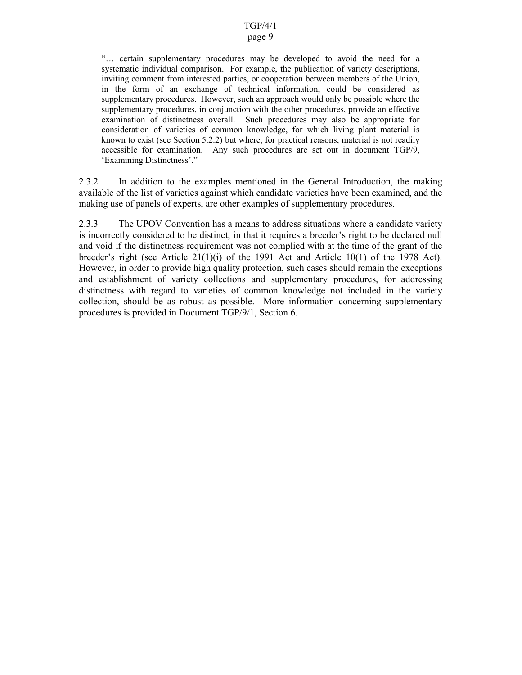#### page 9

"… certain supplementary procedures may be developed to avoid the need for a systematic individual comparison. For example, the publication of variety descriptions, inviting comment from interested parties, or cooperation between members of the Union, in the form of an exchange of technical information, could be considered as supplementary procedures. However, such an approach would only be possible where the supplementary procedures, in conjunction with the other procedures, provide an effective examination of distinctness overall. Such procedures may also be appropriate for consideration of varieties of common knowledge, for which living plant material is known to exist (see Section 5.2.2) but where, for practical reasons, material is not readily accessible for examination. Any such procedures are set out in document TGP/9, 'Examining Distinctness'."

2.3.2 In addition to the examples mentioned in the General Introduction, the making available of the list of varieties against which candidate varieties have been examined, and the making use of panels of experts, are other examples of supplementary procedures.

2.3.3 The UPOV Convention has a means to address situations where a candidate variety is incorrectly considered to be distinct, in that it requires a breeder's right to be declared null and void if the distinctness requirement was not complied with at the time of the grant of the breeder's right (see Article 21(1)(i) of the 1991 Act and Article 10(1) of the 1978 Act). However, in order to provide high quality protection, such cases should remain the exceptions and establishment of variety collections and supplementary procedures, for addressing distinctness with regard to varieties of common knowledge not included in the variety collection, should be as robust as possible. More information concerning supplementary procedures is provided in Document TGP/9/1, Section 6.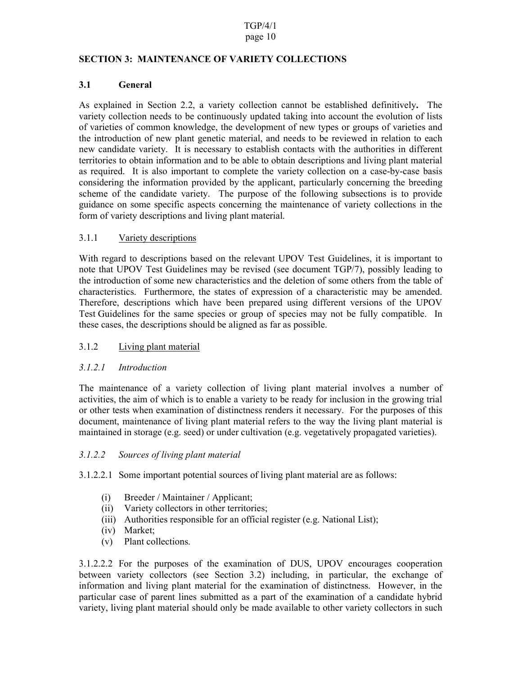## page 10

## **SECTION 3: MAINTENANCE OF VARIETY COLLECTIONS**

# **3.1 General**

As explained in Section 2.2, a variety collection cannot be established definitively**.** The variety collection needs to be continuously updated taking into account the evolution of lists of varieties of common knowledge, the development of new types or groups of varieties and the introduction of new plant genetic material, and needs to be reviewed in relation to each new candidate variety. It is necessary to establish contacts with the authorities in different territories to obtain information and to be able to obtain descriptions and living plant material as required. It is also important to complete the variety collection on a case-by-case basis considering the information provided by the applicant, particularly concerning the breeding scheme of the candidate variety. The purpose of the following subsections is to provide guidance on some specific aspects concerning the maintenance of variety collections in the form of variety descriptions and living plant material.

# 3.1.1 Variety descriptions

With regard to descriptions based on the relevant UPOV Test Guidelines, it is important to note that UPOV Test Guidelines may be revised (see document TGP/7), possibly leading to the introduction of some new characteristics and the deletion of some others from the table of characteristics. Furthermore, the states of expression of a characteristic may be amended. Therefore, descriptions which have been prepared using different versions of the UPOV Test Guidelines for the same species or group of species may not be fully compatible. In these cases, the descriptions should be aligned as far as possible.

# 3.1.2 Living plant material

# *3.1.2.1 Introduction*

The maintenance of a variety collection of living plant material involves a number of activities, the aim of which is to enable a variety to be ready for inclusion in the growing trial or other tests when examination of distinctness renders it necessary. For the purposes of this document, maintenance of living plant material refers to the way the living plant material is maintained in storage (e.g. seed) or under cultivation (e.g. vegetatively propagated varieties).

#### *3.1.2.2 Sources of living plant material*

3.1.2.2.1 Some important potential sources of living plant material are as follows:

- (i) Breeder / Maintainer / Applicant;
- (ii) Variety collectors in other territories;
- (iii) Authorities responsible for an official register (e.g. National List);
- (iv) Market;
- (v) Plant collections.

3.1.2.2.2 For the purposes of the examination of DUS, UPOV encourages cooperation between variety collectors (see Section 3.2) including, in particular, the exchange of information and living plant material for the examination of distinctness. However, in the particular case of parent lines submitted as a part of the examination of a candidate hybrid variety, living plant material should only be made available to other variety collectors in such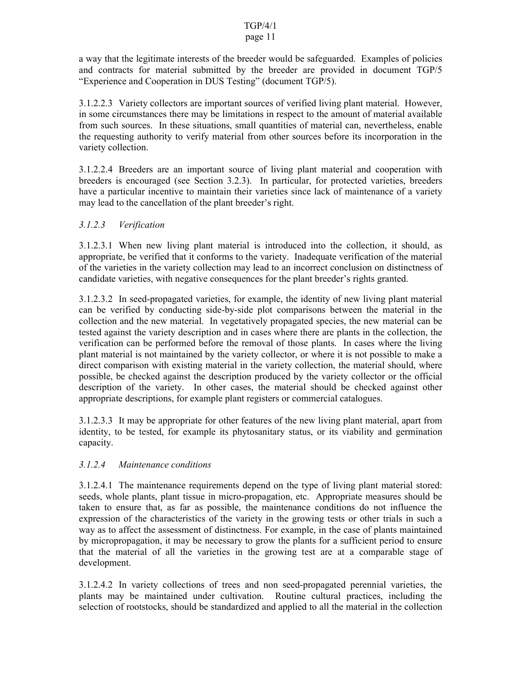# page 11

a way that the legitimate interests of the breeder would be safeguarded. Examples of policies and contracts for material submitted by the breeder are provided in document TGP/5 "Experience and Cooperation in DUS Testing" (document TGP/5).

3.1.2.2.3 Variety collectors are important sources of verified living plant material. However, in some circumstances there may be limitations in respect to the amount of material available from such sources. In these situations, small quantities of material can, nevertheless, enable the requesting authority to verify material from other sources before its incorporation in the variety collection.

3.1.2.2.4 Breeders are an important source of living plant material and cooperation with breeders is encouraged (see Section 3.2.3). In particular, for protected varieties, breeders have a particular incentive to maintain their varieties since lack of maintenance of a variety may lead to the cancellation of the plant breeder's right.

# *3.1.2.3 Verification*

3.1.2.3.1 When new living plant material is introduced into the collection, it should, as appropriate, be verified that it conforms to the variety. Inadequate verification of the material of the varieties in the variety collection may lead to an incorrect conclusion on distinctness of candidate varieties, with negative consequences for the plant breeder's rights granted.

3.1.2.3.2 In seed-propagated varieties, for example, the identity of new living plant material can be verified by conducting side-by-side plot comparisons between the material in the collection and the new material. In vegetatively propagated species, the new material can be tested against the variety description and in cases where there are plants in the collection, the verification can be performed before the removal of those plants. In cases where the living plant material is not maintained by the variety collector, or where it is not possible to make a direct comparison with existing material in the variety collection, the material should, where possible, be checked against the description produced by the variety collector or the official description of the variety. In other cases, the material should be checked against other appropriate descriptions, for example plant registers or commercial catalogues.

3.1.2.3.3 It may be appropriate for other features of the new living plant material, apart from identity, to be tested, for example its phytosanitary status, or its viability and germination capacity.

# *3.1.2.4 Maintenance conditions*

3.1.2.4.1 The maintenance requirements depend on the type of living plant material stored: seeds, whole plants, plant tissue in micro-propagation, etc. Appropriate measures should be taken to ensure that, as far as possible, the maintenance conditions do not influence the expression of the characteristics of the variety in the growing tests or other trials in such a way as to affect the assessment of distinctness. For example, in the case of plants maintained by micropropagation, it may be necessary to grow the plants for a sufficient period to ensure that the material of all the varieties in the growing test are at a comparable stage of development.

3.1.2.4.2 In variety collections of trees and non seed-propagated perennial varieties, the plants may be maintained under cultivation. Routine cultural practices, including the selection of rootstocks, should be standardized and applied to all the material in the collection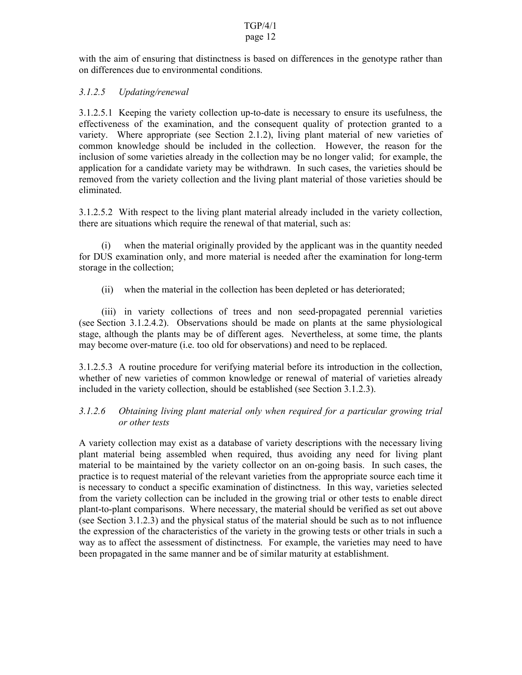#### TGP/4/1 page 12

with the aim of ensuring that distinctness is based on differences in the genotype rather than on differences due to environmental conditions.

# *3.1.2.5 Updating/renewal*

3.1.2.5.1 Keeping the variety collection up-to-date is necessary to ensure its usefulness, the effectiveness of the examination, and the consequent quality of protection granted to a variety. Where appropriate (see Section 2.1.2), living plant material of new varieties of common knowledge should be included in the collection. However, the reason for the inclusion of some varieties already in the collection may be no longer valid; for example, the application for a candidate variety may be withdrawn. In such cases, the varieties should be removed from the variety collection and the living plant material of those varieties should be eliminated.

3.1.2.5.2 With respect to the living plant material already included in the variety collection, there are situations which require the renewal of that material, such as:

 (i) when the material originally provided by the applicant was in the quantity needed for DUS examination only, and more material is needed after the examination for long-term storage in the collection;

(ii) when the material in the collection has been depleted or has deteriorated;

 (iii) in variety collections of trees and non seed-propagated perennial varieties (see Section 3.1.2.4.2). Observations should be made on plants at the same physiological stage, although the plants may be of different ages. Nevertheless, at some time, the plants may become over-mature (i.e. too old for observations) and need to be replaced.

3.1.2.5.3 A routine procedure for verifying material before its introduction in the collection, whether of new varieties of common knowledge or renewal of material of varieties already included in the variety collection, should be established (see Section 3.1.2.3).

# *3.1.2.6 Obtaining living plant material only when required for a particular growing trial or other tests*

A variety collection may exist as a database of variety descriptions with the necessary living plant material being assembled when required, thus avoiding any need for living plant material to be maintained by the variety collector on an on-going basis. In such cases, the practice is to request material of the relevant varieties from the appropriate source each time it is necessary to conduct a specific examination of distinctness. In this way, varieties selected from the variety collection can be included in the growing trial or other tests to enable direct plant-to-plant comparisons. Where necessary, the material should be verified as set out above (see Section 3.1.2.3) and the physical status of the material should be such as to not influence the expression of the characteristics of the variety in the growing tests or other trials in such a way as to affect the assessment of distinctness. For example, the varieties may need to have been propagated in the same manner and be of similar maturity at establishment.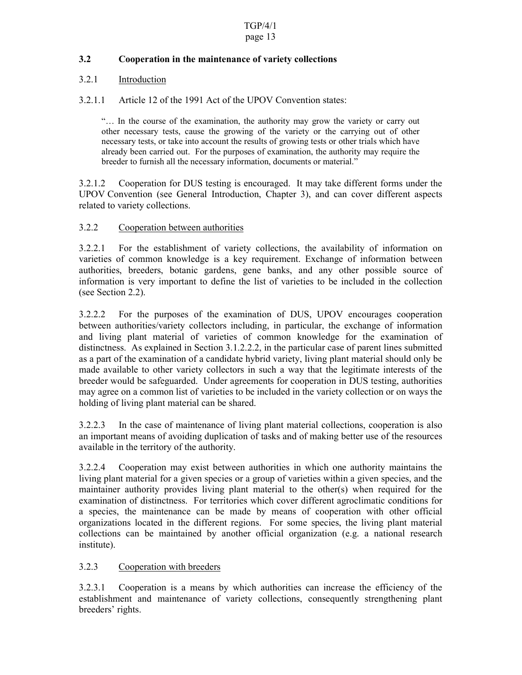# **3.2 Cooperation in the maintenance of variety collections**

# 3.2.1 Introduction

3.2.1.1 Article 12 of the 1991 Act of the UPOV Convention states:

"… In the course of the examination, the authority may grow the variety or carry out other necessary tests, cause the growing of the variety or the carrying out of other necessary tests, or take into account the results of growing tests or other trials which have already been carried out. For the purposes of examination, the authority may require the breeder to furnish all the necessary information, documents or material."

3.2.1.2 Cooperation for DUS testing is encouraged. It may take different forms under the UPOV Convention (see General Introduction, Chapter 3), and can cover different aspects related to variety collections.

# 3.2.2 Cooperation between authorities

3.2.2.1 For the establishment of variety collections, the availability of information on varieties of common knowledge is a key requirement. Exchange of information between authorities, breeders, botanic gardens, gene banks, and any other possible source of information is very important to define the list of varieties to be included in the collection (see Section 2.2).

3.2.2.2 For the purposes of the examination of DUS, UPOV encourages cooperation between authorities/variety collectors including, in particular, the exchange of information and living plant material of varieties of common knowledge for the examination of distinctness. As explained in Section 3.1.2.2.2, in the particular case of parent lines submitted as a part of the examination of a candidate hybrid variety, living plant material should only be made available to other variety collectors in such a way that the legitimate interests of the breeder would be safeguarded. Under agreements for cooperation in DUS testing, authorities may agree on a common list of varieties to be included in the variety collection or on ways the holding of living plant material can be shared.

3.2.2.3 In the case of maintenance of living plant material collections, cooperation is also an important means of avoiding duplication of tasks and of making better use of the resources available in the territory of the authority.

3.2.2.4 Cooperation may exist between authorities in which one authority maintains the living plant material for a given species or a group of varieties within a given species, and the maintainer authority provides living plant material to the other(s) when required for the examination of distinctness. For territories which cover different agroclimatic conditions for a species, the maintenance can be made by means of cooperation with other official organizations located in the different regions. For some species, the living plant material collections can be maintained by another official organization (e.g. a national research institute).

# 3.2.3 Cooperation with breeders

3.2.3.1 Cooperation is a means by which authorities can increase the efficiency of the establishment and maintenance of variety collections, consequently strengthening plant breeders' rights.